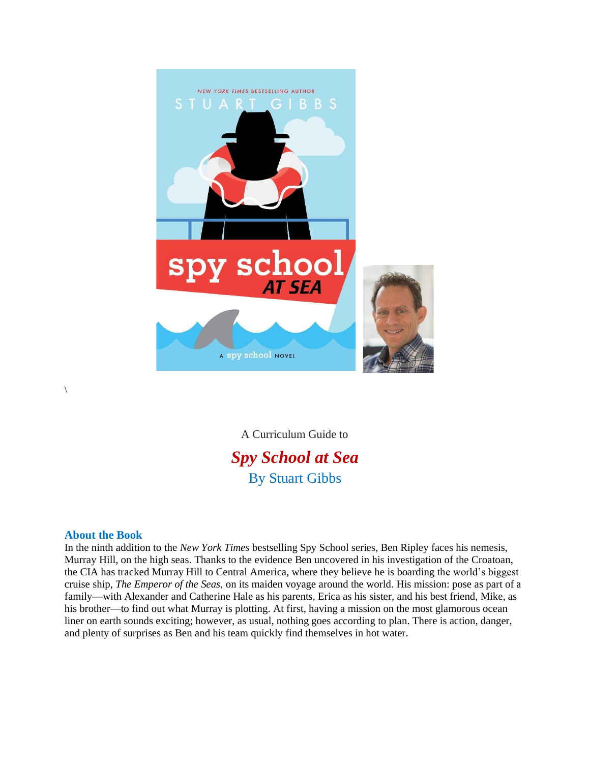

A Curriculum Guide to *Spy School at Sea* By Stuart Gibbs

## **About the Book**

 $\setminus$ 

In the ninth addition to the *New York Times* bestselling Spy School series, Ben Ripley faces his nemesis, Murray Hill, on the high seas. Thanks to the evidence Ben uncovered in his investigation of the Croatoan, the CIA has tracked Murray Hill to Central America, where they believe he is boarding the world's biggest cruise ship, *The Emperor of the Seas*, on its maiden voyage around the world. His mission: pose as part of a family—with Alexander and Catherine Hale as his parents, Erica as his sister, and his best friend, Mike, as his brother—to find out what Murray is plotting. At first, having a mission on the most glamorous ocean liner on earth sounds exciting; however, as usual, nothing goes according to plan. There is action, danger, and plenty of surprises as Ben and his team quickly find themselves in hot water.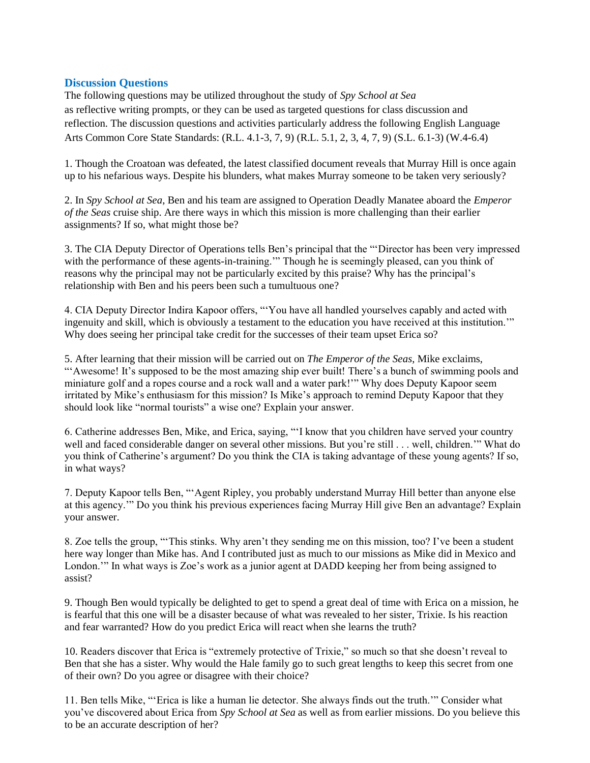## **Discussion Questions**

The following questions may be utilized throughout the study of *Spy School at Sea* as reflective writing prompts, or they can be used as targeted questions for class discussion and reflection. The discussion questions and activities particularly address the following English Language Arts Common Core State Standards: (R.L. 4.1-3, 7, 9) (R.L. 5.1, 2, 3, 4, 7, 9) (S.L. 6.1-3) (W.4-6.4)

1. Though the Croatoan was defeated, the latest classified document reveals that Murray Hill is once again up to his nefarious ways. Despite his blunders, what makes Murray someone to be taken very seriously?

2. In *Spy School at Sea*, Ben and his team are assigned to Operation Deadly Manatee aboard the *Emperor of the Seas* cruise ship. Are there ways in which this mission is more challenging than their earlier assignments? If so, what might those be?

3. The CIA Deputy Director of Operations tells Ben's principal that the "'Director has been very impressed with the performance of these agents-in-training." Though he is seemingly pleased, can you think of reasons why the principal may not be particularly excited by this praise? Why has the principal's relationship with Ben and his peers been such a tumultuous one?

4. CIA Deputy Director Indira Kapoor offers, "'You have all handled yourselves capably and acted with ingenuity and skill, which is obviously a testament to the education you have received at this institution.'" Why does seeing her principal take credit for the successes of their team upset Erica so?

5. After learning that their mission will be carried out on *The Emperor of the Seas*, Mike exclaims, "'Awesome! It's supposed to be the most amazing ship ever built! There's a bunch of swimming pools and miniature golf and a ropes course and a rock wall and a water park!'" Why does Deputy Kapoor seem irritated by Mike's enthusiasm for this mission? Is Mike's approach to remind Deputy Kapoor that they should look like "normal tourists" a wise one? Explain your answer.

6. Catherine addresses Ben, Mike, and Erica, saying, "'I know that you children have served your country well and faced considerable danger on several other missions. But you're still . . . well, children.'" What do you think of Catherine's argument? Do you think the CIA is taking advantage of these young agents? If so, in what ways?

7. Deputy Kapoor tells Ben, "'Agent Ripley, you probably understand Murray Hill better than anyone else at this agency.'" Do you think his previous experiences facing Murray Hill give Ben an advantage? Explain your answer.

8. Zoe tells the group, "'This stinks. Why aren't they sending me on this mission, too? I've been a student here way longer than Mike has. And I contributed just as much to our missions as Mike did in Mexico and London.'" In what ways is Zoe's work as a junior agent at DADD keeping her from being assigned to assist?

9. Though Ben would typically be delighted to get to spend a great deal of time with Erica on a mission, he is fearful that this one will be a disaster because of what was revealed to her sister, Trixie. Is his reaction and fear warranted? How do you predict Erica will react when she learns the truth?

10. Readers discover that Erica is "extremely protective of Trixie," so much so that she doesn't reveal to Ben that she has a sister. Why would the Hale family go to such great lengths to keep this secret from one of their own? Do you agree or disagree with their choice?

11. Ben tells Mike, "'Erica is like a human lie detector. She always finds out the truth.'" Consider what you've discovered about Erica from *Spy School at Sea* as well as from earlier missions. Do you believe this to be an accurate description of her?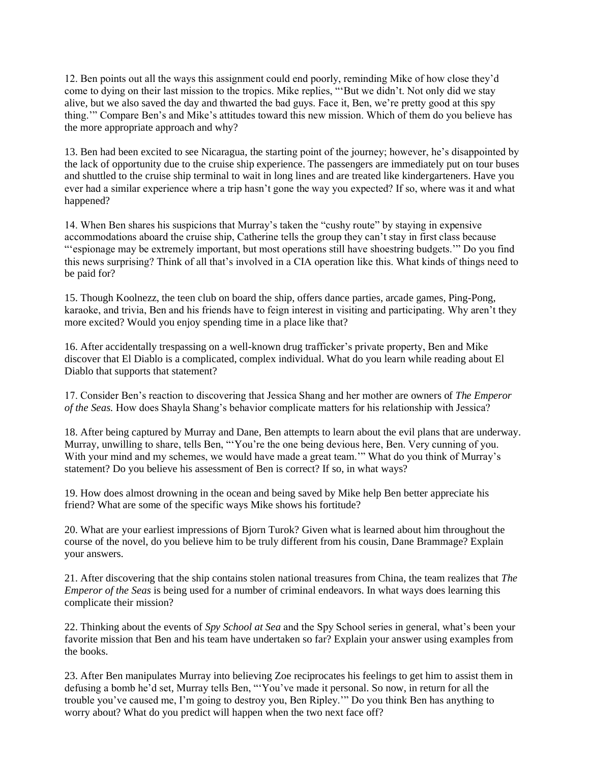12. Ben points out all the ways this assignment could end poorly, reminding Mike of how close they'd come to dying on their last mission to the tropics. Mike replies, "'But we didn't. Not only did we stay alive, but we also saved the day and thwarted the bad guys. Face it, Ben, we're pretty good at this spy thing.'" Compare Ben's and Mike's attitudes toward this new mission. Which of them do you believe has the more appropriate approach and why?

13. Ben had been excited to see Nicaragua, the starting point of the journey; however, he's disappointed by the lack of opportunity due to the cruise ship experience. The passengers are immediately put on tour buses and shuttled to the cruise ship terminal to wait in long lines and are treated like kindergarteners. Have you ever had a similar experience where a trip hasn't gone the way you expected? If so, where was it and what happened?

14. When Ben shares his suspicions that Murray's taken the "cushy route" by staying in expensive accommodations aboard the cruise ship, Catherine tells the group they can't stay in first class because "'espionage may be extremely important, but most operations still have shoestring budgets.'" Do you find this news surprising? Think of all that's involved in a CIA operation like this. What kinds of things need to be paid for?

15. Though Koolnezz, the teen club on board the ship, offers dance parties, arcade games, Ping-Pong, karaoke, and trivia, Ben and his friends have to feign interest in visiting and participating. Why aren't they more excited? Would you enjoy spending time in a place like that?

16. After accidentally trespassing on a well-known drug trafficker's private property, Ben and Mike discover that El Diablo is a complicated, complex individual. What do you learn while reading about El Diablo that supports that statement?

17. Consider Ben's reaction to discovering that Jessica Shang and her mother are owners of *The Emperor of the Seas.* How does Shayla Shang's behavior complicate matters for his relationship with Jessica?

18. After being captured by Murray and Dane, Ben attempts to learn about the evil plans that are underway. Murray, unwilling to share, tells Ben, "'You're the one being devious here, Ben. Very cunning of you. With your mind and my schemes, we would have made a great team.'" What do you think of Murray's statement? Do you believe his assessment of Ben is correct? If so, in what ways?

19. How does almost drowning in the ocean and being saved by Mike help Ben better appreciate his friend? What are some of the specific ways Mike shows his fortitude?

20. What are your earliest impressions of Bjorn Turok? Given what is learned about him throughout the course of the novel, do you believe him to be truly different from his cousin, Dane Brammage? Explain your answers.

21. After discovering that the ship contains stolen national treasures from China, the team realizes that *The Emperor of the Seas* is being used for a number of criminal endeavors. In what ways does learning this complicate their mission?

22. Thinking about the events of *Spy School at Sea* and the Spy School series in general, what's been your favorite mission that Ben and his team have undertaken so far? Explain your answer using examples from the books.

23. After Ben manipulates Murray into believing Zoe reciprocates his feelings to get him to assist them in defusing a bomb he'd set*,* Murray tells Ben, "'You've made it personal. So now, in return for all the trouble you've caused me, I'm going to destroy you, Ben Ripley.'" Do you think Ben has anything to worry about? What do you predict will happen when the two next face off?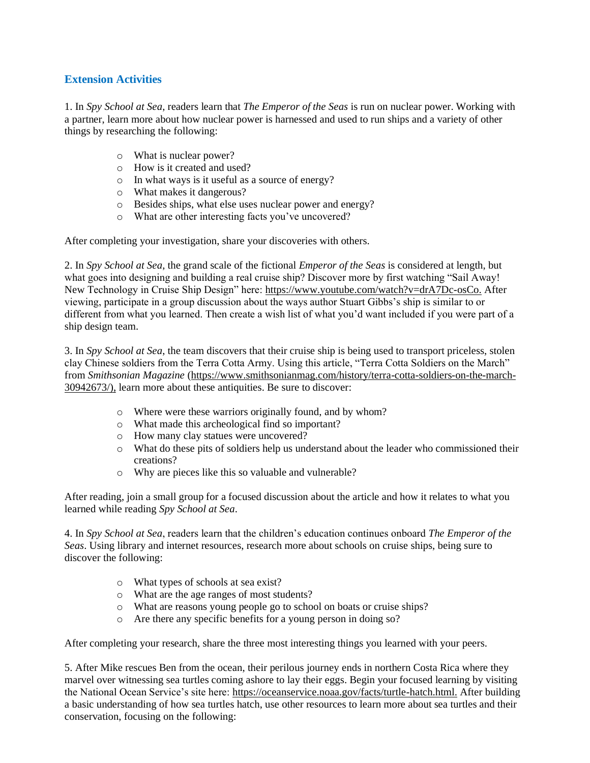## **Extension Activities**

1. In *Spy School at Sea*, readers learn that *The Emperor of the Seas* is run on nuclear power. Working with a partner, learn more about how nuclear power is harnessed and used to run ships and a variety of other things by researching the following:

- o What is nuclear power?
- o How is it created and used?
- o In what ways is it useful as a source of energy?
- o What makes it dangerous?
- o Besides ships, what else uses nuclear power and energy?
- o What are other interesting facts you've uncovered?

After completing your investigation, share your discoveries with others.

2. In *Spy School at Sea*, the grand scale of the fictional *Emperor of the Seas* is considered at length, but what goes into designing and building a real cruise ship? Discover more by first watching "Sail Away! New Technology in Cruise Ship Design" here: [https://www.youtube.com/watch?v=drA7Dc-osCo.](https://www.youtube.com/watch?v=drA7Dc-osCo) After viewing, participate in a group discussion about the ways author Stuart Gibbs's ship is similar to or different from what you learned. Then create a wish list of what you'd want included if you were part of a ship design team.

3. In *Spy School at Sea*, the team discovers that their cruise ship is being used to transport priceless, stolen clay Chinese soldiers from the Terra Cotta Army. Using this article, "Terra Cotta Soldiers on the March" from *Smithsonian Magazine* [\(https://www.smithsonianmag.com/history/terra-cotta-soldiers-on-the-march-](https://www.smithsonianmag.com/history/terra-cotta-soldiers-on-the-march-30942673/)[30942673/\)](https://www.smithsonianmag.com/history/terra-cotta-soldiers-on-the-march-30942673/), learn more about these antiquities. Be sure to discover:

- o Where were these warriors originally found, and by whom?
- o What made this archeological find so important?
- o How many clay statues were uncovered?
- o What do these pits of soldiers help us understand about the leader who commissioned their creations?
- o Why are pieces like this so valuable and vulnerable?

After reading, join a small group for a focused discussion about the article and how it relates to what you learned while reading *Spy School at Sea*.

4. In *Spy School at Sea*, readers learn that the children's education continues onboard *The Emperor of the Seas*. Using library and internet resources, research more about schools on cruise ships, being sure to discover the following:

- o What types of schools at sea exist?
- o What are the age ranges of most students?
- o What are reasons young people go to school on boats or cruise ships?
- o Are there any specific benefits for a young person in doing so?

After completing your research, share the three most interesting things you learned with your peers.

5. After Mike rescues Ben from the ocean, their perilous journey ends in northern Costa Rica where they marvel over witnessing sea turtles coming ashore to lay their eggs. Begin your focused learning by visiting the National Ocean Service's site here: [https://oceanservice.noaa.gov/facts/turtle-hatch.html.](https://oceanservice.noaa.gov/facts/turtle-hatch.html) After building a basic understanding of how sea turtles hatch, use other resources to learn more about sea turtles and their conservation, focusing on the following: